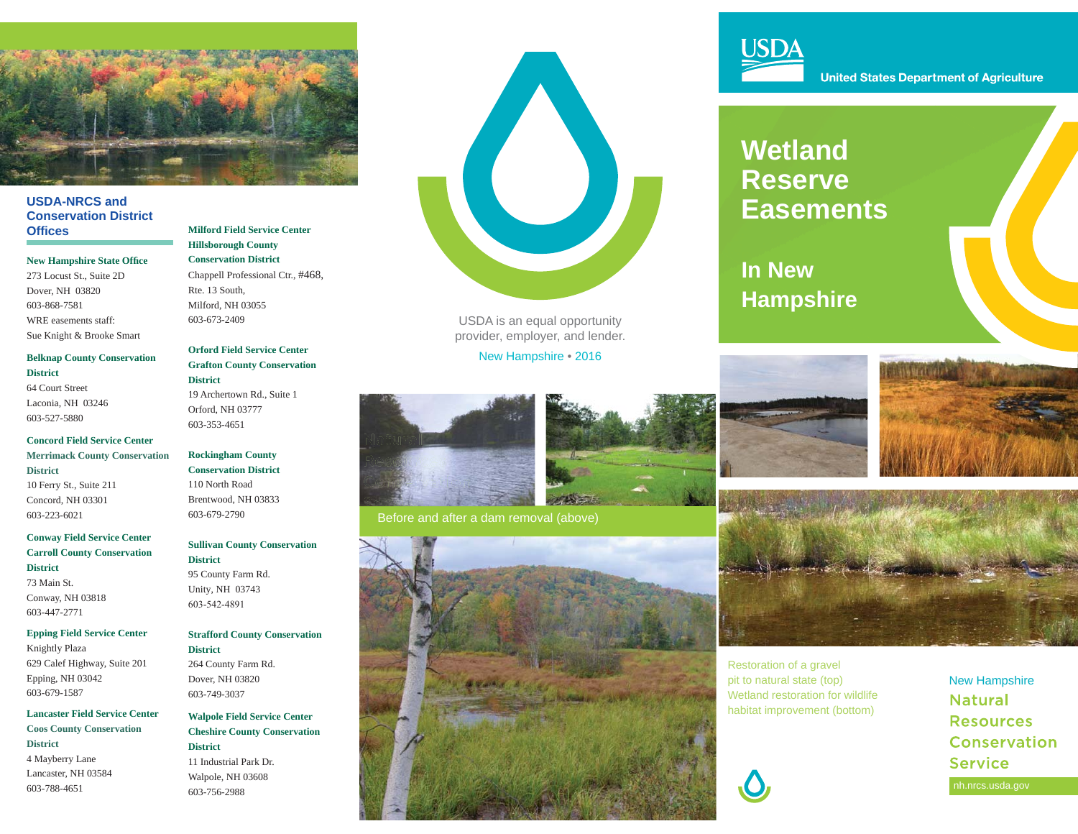

#### **USDA-NRCS and Conservation District Offi ces**

#### **New Hampshire State Office**

273 Locust St., Suite 2D Dover, NH 03820 603-868-7581WRE easements staff:Sue Knight & Brooke Smart

#### **Belknap County Conservation District**

64 Court StreetLaconia, NH 03246 603-527-5880

#### **Concord Field Service CenterMerrimack County Conservation District**

10 Ferry St., Suite 211 Concord, NH 03301 603-223-6021

#### **Conway Field Service Center Carroll County Conservation District**73 Main St.

Conway, NH 03818 603-447-2771

#### **Epping Field Service Center**

Knightly Plaza 629 Calef Highway, Suite 201 Epping, NH 03042 603-679-1587

#### **Lancaster Field Service CenterCoos County Conservation District**  4 Mayberry Lane Lancaster, NH 03584 603-788-4651

#### **Milford Field Service Center Hillsborough County Conservation District**Chappell Professional Ctr., #468,

Rte. 13 South, Milford, NH 03055603-673-2409

#### **Orford Field Service Center Grafton County Conservation District**19 Archertown Rd., Suite 1

Orford, NH 03777603-353-4651

### **Rockingham County**

**Conservation District**110 North Road Brentwood, NH 03833603-679-2790

#### **Sullivan County Conservation District**

95 County Farm Rd.Unity, NH 03743603-542-4891

#### **Strafford County Conservation District**

264 County Farm Rd.Dover, NH 03820603-749-3037

#### **Walpole Field Service Center Cheshire County Conservation District** 11 Industrial Park Dr.Walpole, NH 03608603-756-2988



USDA is an equal opportunity provider, employer, and lender.

New Hampshire • 2016



Before and after a dam removal (above)





**United States Department of Agriculture** 

## **Wetland Reserve Easements**

**In New Hampshire**







Restoration of a gravel pit to natural state (top) Wetland restoration for wildlife habitat improvement (bottom)



New Hampshire **Natural Resources** Conservation **Service** nh.nrcs.usda.gov